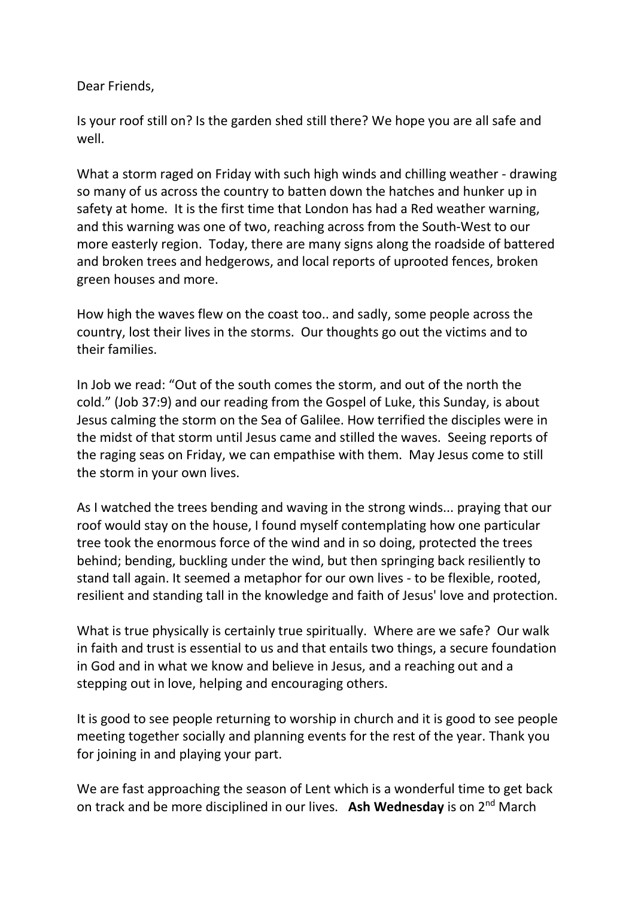Dear Friends,

Is your roof still on? Is the garden shed still there? We hope you are all safe and well.

What a storm raged on Friday with such high winds and chilling weather - drawing so many of us across the country to batten down the hatches and hunker up in safety at home. It is the first time that London has had a Red weather warning, and this warning was one of two, reaching across from the South-West to our more easterly region. Today, there are many signs along the roadside of battered and broken trees and hedgerows, and local reports of uprooted fences, broken green houses and more.

How high the waves flew on the coast too.. and sadly, some people across the country, lost their lives in the storms. Our thoughts go out the victims and to their families.

In Job we read: "Out of the south comes the storm, and out of the north the cold." (Job 37:9) and our reading from the Gospel of Luke, this Sunday, is about Jesus calming the storm on the Sea of Galilee. How terrified the disciples were in the midst of that storm until Jesus came and stilled the waves. Seeing reports of the raging seas on Friday, we can empathise with them. May Jesus come to still the storm in your own lives.

As I watched the trees bending and waving in the strong winds... praying that our roof would stay on the house, I found myself contemplating how one particular tree took the enormous force of the wind and in so doing, protected the trees behind; bending, buckling under the wind, but then springing back resiliently to stand tall again. It seemed a metaphor for our own lives - to be flexible, rooted, resilient and standing tall in the knowledge and faith of Jesus' love and protection.

What is true physically is certainly true spiritually. Where are we safe? Our walk in faith and trust is essential to us and that entails two things, a secure foundation in God and in what we know and believe in Jesus, and a reaching out and a stepping out in love, helping and encouraging others.

It is good to see people returning to worship in church and it is good to see people meeting together socially and planning events for the rest of the year. Thank you for joining in and playing your part.

We are fast approaching the season of Lent which is a wonderful time to get back on track and be more disciplined in our lives. **Ash Wednesday** is on 2nd March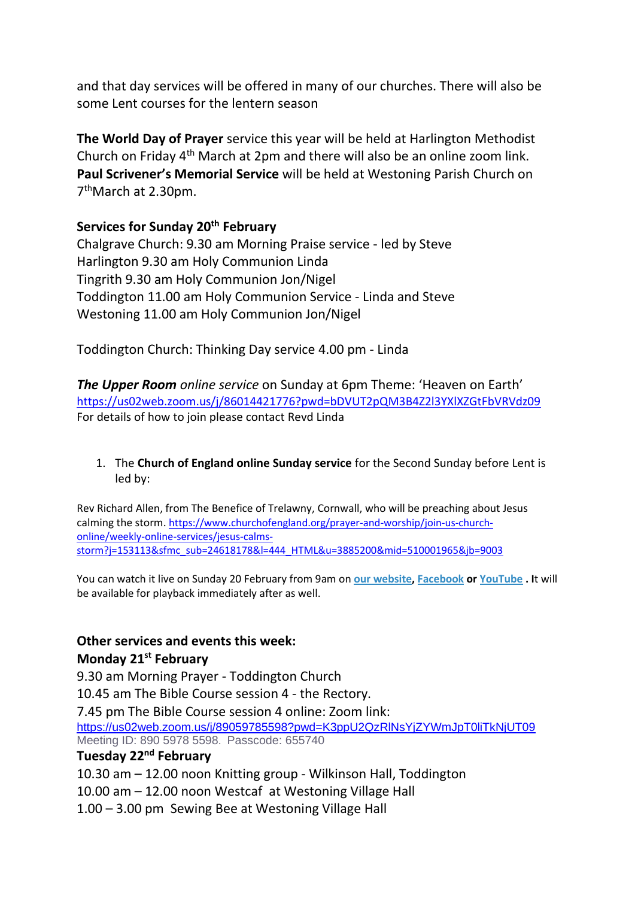and that day services will be offered in many of our churches. There will also be some Lent courses for the lentern season

**The World Day of Prayer** service this year will be held at Harlington Methodist Church on Friday 4th March at 2pm and there will also be an online zoom link. **Paul Scrivener's Memorial Service** will be held at Westoning Parish Church on 7 thMarch at 2.30pm.

**Services for Sunday 20th February**

Chalgrave Church: 9.30 am Morning Praise service - led by Steve Harlington 9.30 am Holy Communion Linda Tingrith 9.30 am Holy Communion Jon/Nigel Toddington 11.00 am Holy Communion Service - Linda and Steve Westoning 11.00 am Holy Communion Jon/Nigel

Toddington Church: Thinking Day service 4.00 pm - Linda

*The Upper Room online service* on Sunday at 6pm Theme: 'Heaven on Earth' <https://us02web.zoom.us/j/86014421776?pwd=bDVUT2pQM3B4Z2l3YXlXZGtFbVRVdz09> For details of how to join please contact Revd Linda

1. The **Church of England online Sunday service** for the Second Sunday before Lent is led by:

Rev Richard Allen, from The Benefice of Trelawny, Cornwall, who will be preaching about Jesus calming the storm. [https://www.churchofengland.org/prayer-and-worship/join-us-church](https://www.churchofengland.org/prayer-and-worship/join-us-church-online/weekly-online-services/jesus-calms-storm?j=153113&sfmc_sub=24618178&l=444_HTML&u=3885200&mid=510001965&jb=9003)[online/weekly-online-services/jesus-calms](https://www.churchofengland.org/prayer-and-worship/join-us-church-online/weekly-online-services/jesus-calms-storm?j=153113&sfmc_sub=24618178&l=444_HTML&u=3885200&mid=510001965&jb=9003)[storm?j=153113&sfmc\\_sub=24618178&l=444\\_HTML&u=3885200&mid=510001965&jb=9003](https://www.churchofengland.org/prayer-and-worship/join-us-church-online/weekly-online-services/jesus-calms-storm?j=153113&sfmc_sub=24618178&l=444_HTML&u=3885200&mid=510001965&jb=9003)

You can watch it live on Sunday 20 February from 9am on **[our website,](https://emea01.safelinks.protection.outlook.com/?url=https%3A%2F%2Fclick.email.churchofengland.org%2F%3Fqs%3Dcb5c04acb29c0355c6769281d929d61007bd73e8a5f334e401525aa813bc3de6342db2f84c2dcaaf0b2396db8543c8669cac5d5e890611e44634b5e3cbc77015&data=04%7C01%7C%7Cefb381e87bb1489a8fe108d9f379c3e2%7C84df9e7fe9f640afb435aaaaaaaaaaaa%7C1%7C0%7C637808526566298553%7CUnknown%7CTWFpbGZsb3d8eyJWIjoiMC4wLjAwMDAiLCJQIjoiV2luMzIiLCJBTiI6Ik1haWwiLCJXVCI6Mn0%3D%7C3000&sdata=zXlqTppD4iM8X2Z2yOfbCHAmV%2Bm%2B2DQ4Om8iR2ua3hQ%3D&reserved=0) [Facebook](https://emea01.safelinks.protection.outlook.com/?url=https%3A%2F%2Fclick.email.churchofengland.org%2F%3Fqs%3Dcb5c04acb29c0355d43b49e41099593811339ecc1483e2421032cffcda2c7a75a7d81c82261fce9f75d7f2413c415b14c6dc0c1036093f5d77c769f003ca5e95&data=04%7C01%7C%7Cefb381e87bb1489a8fe108d9f379c3e2%7C84df9e7fe9f640afb435aaaaaaaaaaaa%7C1%7C0%7C637808526566298553%7CUnknown%7CTWFpbGZsb3d8eyJWIjoiMC4wLjAwMDAiLCJQIjoiV2luMzIiLCJBTiI6Ik1haWwiLCJXVCI6Mn0%3D%7C3000&sdata=OiKo9lK%2FCX4TXUPdzZxXEjPDTFVGmwvyhlRp6ABwgrM%3D&reserved=0) or [YouTube](https://emea01.safelinks.protection.outlook.com/?url=https%3A%2F%2Fclick.email.churchofengland.org%2F%3Fqs%3Dcb5c04acb29c03559d7985d680824a1921c537429e8c1c05f9485f884c2e46f113abdc7192ba472e1a00d3a001b6710052367108ec39c53c5e40d5234d872731&data=04%7C01%7C%7Cefb381e87bb1489a8fe108d9f379c3e2%7C84df9e7fe9f640afb435aaaaaaaaaaaa%7C1%7C0%7C637808526566298553%7CUnknown%7CTWFpbGZsb3d8eyJWIjoiMC4wLjAwMDAiLCJQIjoiV2luMzIiLCJBTiI6Ik1haWwiLCJXVCI6Mn0%3D%7C3000&sdata=6%2FogyPh9qyyxjqp%2B4C6eZM7f8k6rGXzYhFTphN9ExBY%3D&reserved=0) . I**t will be available for playback immediately after as well.

## **Other services and events this week:**

## **Monday 21st February**

9.30 am Morning Prayer - Toddington Church

10.45 am The Bible Course session 4 - the Rectory.

7.45 pm The Bible Course session 4 online: Zoom link: <https://us02web.zoom.us/j/89059785598?pwd=K3ppU2QzRlNsYjZYWmJpT0liTkNjUT09> Meeting ID: 890 5978 5598. Passcode: 655740

## **Tuesday 22nd February**

10.30 am – 12.00 noon Knitting group - Wilkinson Hall, Toddington

10.00 am – 12.00 noon Westcaf at Westoning Village Hall

1.00 – 3.00 pm Sewing Bee at Westoning Village Hall